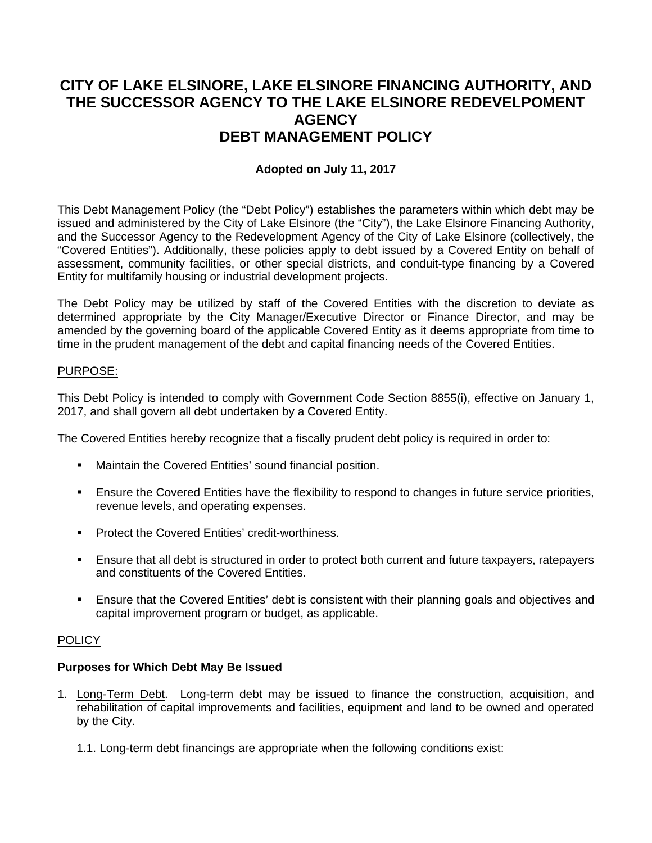# **CITY OF LAKE ELSINORE, LAKE ELSINORE FINANCING AUTHORITY, AND THE SUCCESSOR AGENCY TO THE LAKE ELSINORE REDEVELPOMENT AGENCY DEBT MANAGEMENT POLICY**

### **Adopted on July 11, 2017**

This Debt Management Policy (the "Debt Policy") establishes the parameters within which debt may be issued and administered by the City of Lake Elsinore (the "City"), the Lake Elsinore Financing Authority, and the Successor Agency to the Redevelopment Agency of the City of Lake Elsinore (collectively, the "Covered Entities"). Additionally, these policies apply to debt issued by a Covered Entity on behalf of assessment, community facilities, or other special districts, and conduit-type financing by a Covered Entity for multifamily housing or industrial development projects.

The Debt Policy may be utilized by staff of the Covered Entities with the discretion to deviate as determined appropriate by the City Manager/Executive Director or Finance Director, and may be amended by the governing board of the applicable Covered Entity as it deems appropriate from time to time in the prudent management of the debt and capital financing needs of the Covered Entities.

#### PURPOSE:

This Debt Policy is intended to comply with Government Code Section 8855(i), effective on January 1, 2017, and shall govern all debt undertaken by a Covered Entity.

The Covered Entities hereby recognize that a fiscally prudent debt policy is required in order to:

- **Maintain the Covered Entities' sound financial position.**
- Ensure the Covered Entities have the flexibility to respond to changes in future service priorities, revenue levels, and operating expenses.
- **Protect the Covered Entities' credit-worthiness.**
- Ensure that all debt is structured in order to protect both current and future taxpayers, ratepayers and constituents of the Covered Entities.
- Ensure that the Covered Entities' debt is consistent with their planning goals and objectives and capital improvement program or budget, as applicable.

#### **POLICY**

#### **Purposes for Which Debt May Be Issued**

- 1. Long-Term Debt. Long-term debt may be issued to finance the construction, acquisition, and rehabilitation of capital improvements and facilities, equipment and land to be owned and operated by the City.
	- 1.1. Long-term debt financings are appropriate when the following conditions exist: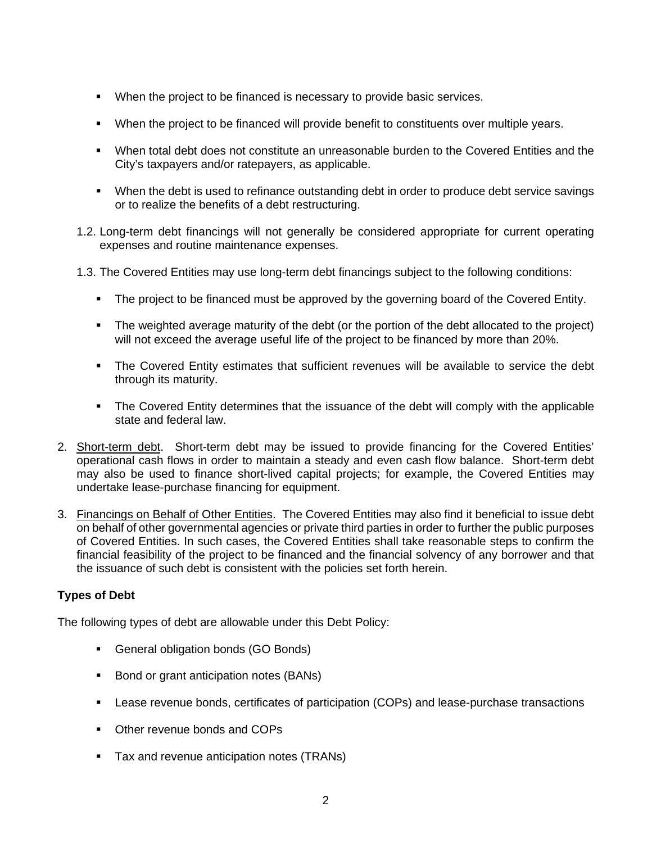- When the project to be financed is necessary to provide basic services.
- When the project to be financed will provide benefit to constituents over multiple years.
- When total debt does not constitute an unreasonable burden to the Covered Entities and the City's taxpayers and/or ratepayers, as applicable.
- When the debt is used to refinance outstanding debt in order to produce debt service savings or to realize the benefits of a debt restructuring.
- 1.2. Long-term debt financings will not generally be considered appropriate for current operating expenses and routine maintenance expenses.
- 1.3. The Covered Entities may use long-term debt financings subject to the following conditions:
	- The project to be financed must be approved by the governing board of the Covered Entity.
	- The weighted average maturity of the debt (or the portion of the debt allocated to the project) will not exceed the average useful life of the project to be financed by more than 20%.
	- The Covered Entity estimates that sufficient revenues will be available to service the debt through its maturity.
	- The Covered Entity determines that the issuance of the debt will comply with the applicable state and federal law.
- 2. Short-term debt. Short-term debt may be issued to provide financing for the Covered Entities' operational cash flows in order to maintain a steady and even cash flow balance. Short-term debt may also be used to finance short-lived capital projects; for example, the Covered Entities may undertake lease-purchase financing for equipment.
- 3. Financings on Behalf of Other Entities. The Covered Entities may also find it beneficial to issue debt on behalf of other governmental agencies or private third parties in order to further the public purposes of Covered Entities. In such cases, the Covered Entities shall take reasonable steps to confirm the financial feasibility of the project to be financed and the financial solvency of any borrower and that the issuance of such debt is consistent with the policies set forth herein.

## **Types of Debt**

The following types of debt are allowable under this Debt Policy:

- General obligation bonds (GO Bonds)
- Bond or grant anticipation notes (BANs)
- Lease revenue bonds, certificates of participation (COPs) and lease-purchase transactions
- Other revenue bonds and COPs
- Tax and revenue anticipation notes (TRANs)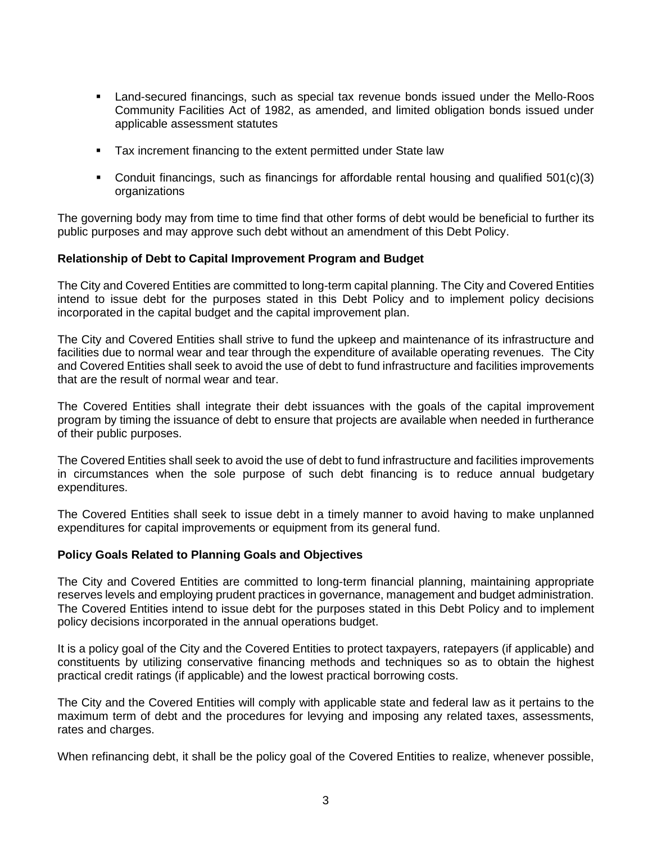- Land-secured financings, such as special tax revenue bonds issued under the Mello-Roos Community Facilities Act of 1982, as amended, and limited obligation bonds issued under applicable assessment statutes
- Tax increment financing to the extent permitted under State law
- Conduit financings, such as financings for affordable rental housing and qualified 501(c)(3) organizations

The governing body may from time to time find that other forms of debt would be beneficial to further its public purposes and may approve such debt without an amendment of this Debt Policy.

#### **Relationship of Debt to Capital Improvement Program and Budget**

The City and Covered Entities are committed to long-term capital planning. The City and Covered Entities intend to issue debt for the purposes stated in this Debt Policy and to implement policy decisions incorporated in the capital budget and the capital improvement plan.

The City and Covered Entities shall strive to fund the upkeep and maintenance of its infrastructure and facilities due to normal wear and tear through the expenditure of available operating revenues. The City and Covered Entities shall seek to avoid the use of debt to fund infrastructure and facilities improvements that are the result of normal wear and tear.

The Covered Entities shall integrate their debt issuances with the goals of the capital improvement program by timing the issuance of debt to ensure that projects are available when needed in furtherance of their public purposes.

The Covered Entities shall seek to avoid the use of debt to fund infrastructure and facilities improvements in circumstances when the sole purpose of such debt financing is to reduce annual budgetary expenditures.

The Covered Entities shall seek to issue debt in a timely manner to avoid having to make unplanned expenditures for capital improvements or equipment from its general fund.

#### **Policy Goals Related to Planning Goals and Objectives**

The City and Covered Entities are committed to long-term financial planning, maintaining appropriate reserves levels and employing prudent practices in governance, management and budget administration. The Covered Entities intend to issue debt for the purposes stated in this Debt Policy and to implement policy decisions incorporated in the annual operations budget.

It is a policy goal of the City and the Covered Entities to protect taxpayers, ratepayers (if applicable) and constituents by utilizing conservative financing methods and techniques so as to obtain the highest practical credit ratings (if applicable) and the lowest practical borrowing costs.

The City and the Covered Entities will comply with applicable state and federal law as it pertains to the maximum term of debt and the procedures for levying and imposing any related taxes, assessments, rates and charges.

When refinancing debt, it shall be the policy goal of the Covered Entities to realize, whenever possible,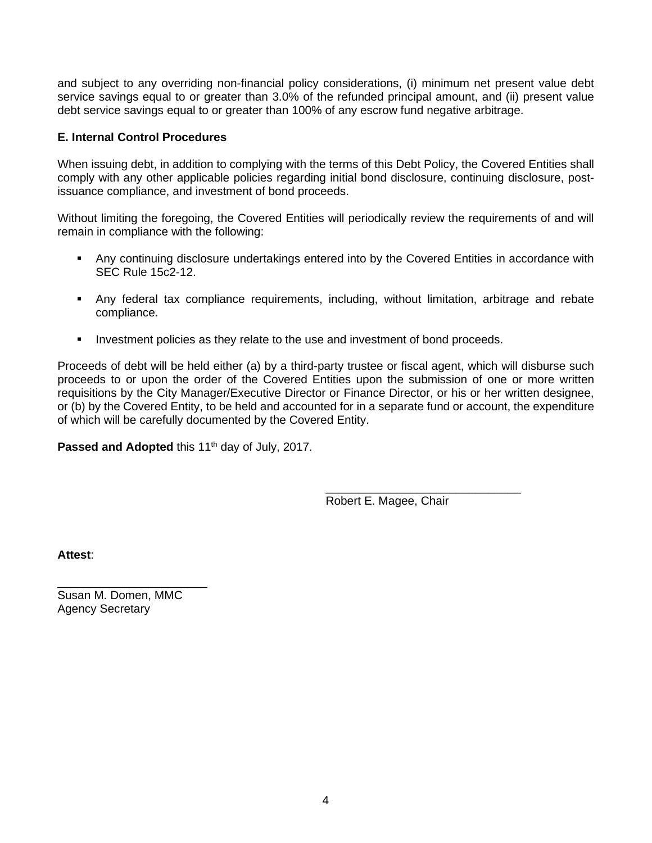and subject to any overriding non-financial policy considerations, (i) minimum net present value debt service savings equal to or greater than 3.0% of the refunded principal amount, and (ii) present value debt service savings equal to or greater than 100% of any escrow fund negative arbitrage.

#### **E. Internal Control Procedures**

When issuing debt, in addition to complying with the terms of this Debt Policy, the Covered Entities shall comply with any other applicable policies regarding initial bond disclosure, continuing disclosure, postissuance compliance, and investment of bond proceeds.

Without limiting the foregoing, the Covered Entities will periodically review the requirements of and will remain in compliance with the following:

- Any continuing disclosure undertakings entered into by the Covered Entities in accordance with SEC Rule 15c2-12.
- Any federal tax compliance requirements, including, without limitation, arbitrage and rebate compliance.
- Investment policies as they relate to the use and investment of bond proceeds.

Proceeds of debt will be held either (a) by a third-party trustee or fiscal agent, which will disburse such proceeds to or upon the order of the Covered Entities upon the submission of one or more written requisitions by the City Manager/Executive Director or Finance Director, or his or her written designee, or (b) by the Covered Entity, to be held and accounted for in a separate fund or account, the expenditure of which will be carefully documented by the Covered Entity.

Passed and Adopted this 11<sup>th</sup> day of July, 2017.

\_\_\_\_\_\_\_\_\_\_\_\_\_\_\_\_\_\_\_\_\_\_\_\_\_\_\_\_\_\_ Robert E. Magee, Chair

**Attest**:

Susan M. Domen, MMC Agency Secretary

\_\_\_\_\_\_\_\_\_\_\_\_\_\_\_\_\_\_\_\_\_\_\_